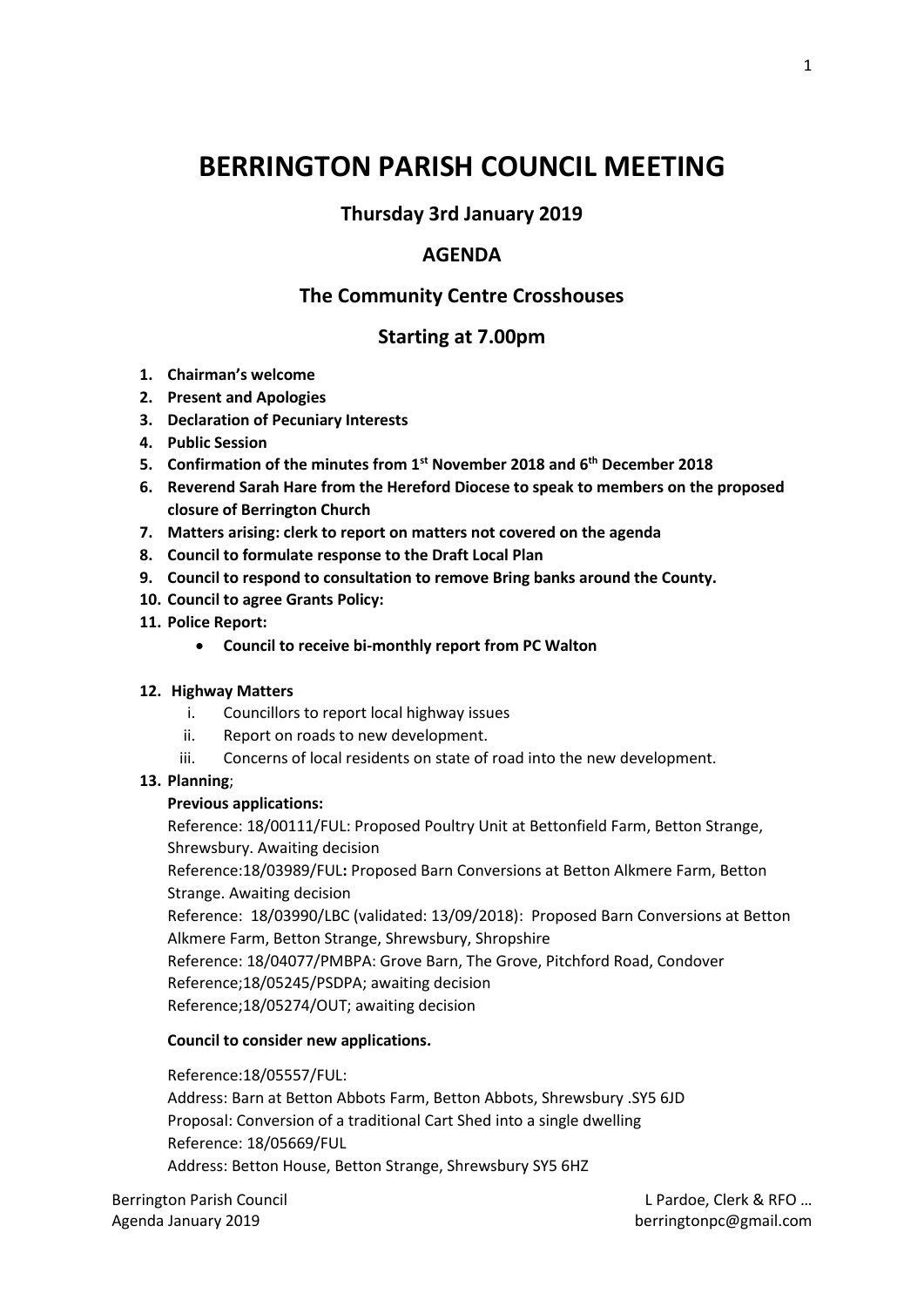# **BERRINGTON PARISH COUNCIL MEETING**

# **Thursday 3rd January 2019**

## **AGENDA**

## **The Community Centre Crosshouses**

## **Starting at 7.00pm**

- **1. Chairman's welcome**
- **2. Present and Apologies**
- **3. Declaration of Pecuniary Interests**
- **4. Public Session**
- **5. Confirmation of the minutes from 1st November 2018 and 6th December 2018**
- **6. Reverend Sarah Hare from the Hereford Diocese to speak to members on the proposed closure of Berrington Church**
- **7. Matters arising: clerk to report on matters not covered on the agenda**
- **8. Council to formulate response to the Draft Local Plan**
- **9. Council to respond to consultation to remove Bring banks around the County.**
- **10. Council to agree Grants Policy:**
- **11. Police Report:**
	- **Council to receive bi-monthly report from PC Walton**

#### **12. Highway Matters**

- i. Councillors to report local highway issues
- ii. Report on roads to new development.
- iii. Concerns of local residents on state of road into the new development.

#### **13. Planning**;

#### **Previous applications:**

Reference: 18/00111/FUL: Proposed Poultry Unit at Bettonfield Farm, Betton Strange, Shrewsbury. Awaiting decision

Reference:18/03989/FUL**:** Proposed Barn Conversions at Betton Alkmere Farm, Betton Strange. Awaiting decision

Reference: 18/03990/LBC (validated: 13/09/2018): Proposed Barn Conversions at Betton Alkmere Farm, Betton Strange, Shrewsbury, Shropshire

Reference: 18/04077/PMBPA: Grove Barn, The Grove, Pitchford Road, Condover

Reference;18/05245/PSDPA; awaiting decision

Reference;18/05274/OUT; awaiting decision

#### **Council to consider new applications.**

Reference:18/05557/FUL:

Address: Barn at Betton Abbots Farm, Betton Abbots, Shrewsbury .SY5 6JD Proposal: Conversion of a traditional Cart Shed into a single dwelling Reference: 18/05669/FUL Address: Betton House, Betton Strange, Shrewsbury SY5 6HZ

Berrington Parish Council **Example 20 and Council Leapers** 20 and 20 and 20 and 20 and 20 and 20 and 20 and 20 and 20 and 20 and 20 and 20 and 20 and 20 and 20 and 20 and 20 and 20 and 20 and 20 and 20 and 20 and 20 and 20 Agenda January 2019 **berringtonpc@gmail.com**